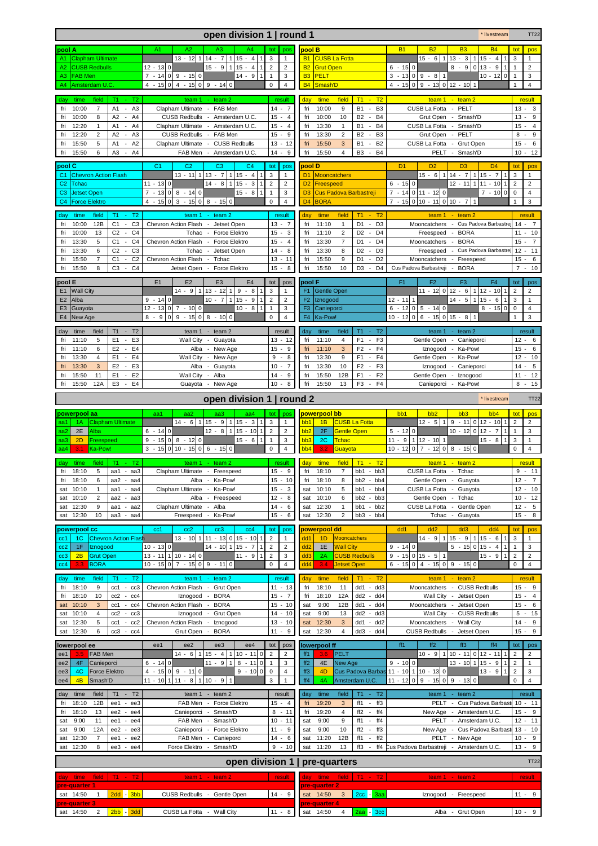|                                                                                                                                                               | open division 1   round 1                                                                                                            |                                                       |                                                                                                                                                         | * livestream                                                                                                                                                    | <b>TT22</b>                                        |
|---------------------------------------------------------------------------------------------------------------------------------------------------------------|--------------------------------------------------------------------------------------------------------------------------------------|-------------------------------------------------------|---------------------------------------------------------------------------------------------------------------------------------------------------------|-----------------------------------------------------------------------------------------------------------------------------------------------------------------|----------------------------------------------------|
| pool A                                                                                                                                                        | A2<br>A4<br>A1<br>A3                                                                                                                 | tot<br>pos                                            | pool B                                                                                                                                                  | <b>B1</b><br><b>B2</b><br>B <sub>3</sub><br><b>B4</b>                                                                                                           | tot<br>pos                                         |
| <b>Clapham Ultimate</b><br>A1                                                                                                                                 | $13 - 12$ 1 $14 - 7$<br>$115 - 4$                                                                                                    | 3<br>$\mathbf{1}$                                     | <b>CUSB La Fotta</b><br><b>B1</b>                                                                                                                       | 1 15<br>$15 - 6$<br>$13 - 3$<br>1<br>$-4$                                                                                                                       | 3<br>1                                             |
| <b>CUSB Redbulls</b><br>A2<br><b>FAB Men</b><br>A3.                                                                                                           | $15 - 9$<br>$115 - 4$<br>12 - 13 0<br>$7 - 140$<br>$9 - 150$<br>$14 - 9$                                                             | $\overline{2}$<br>$\overline{2}$<br>$\mathbf{1}$<br>3 | <b>B2</b><br><b>Grut Open</b><br><b>B3</b><br><b>PELT</b>                                                                                               | $8 - 9$<br>$013 - 9$<br>$\mathbf{1}$<br>$6 - 150$<br>$10 - 12$<br>3<br>$-130$<br>$9 - 8$<br>$\mathsf 0$<br>$\mathbf{1}$<br>1                                    | $\overline{2}$<br>3                                |
| Amsterdam U.C<br>A4                                                                                                                                           | $4 - 150$<br>$4 - 15 \begin{vmatrix} 0 & 9 & -14 \end{vmatrix}$ 0                                                                    | $\mathbf 0$<br>$\overline{4}$                         | <b>B4</b><br>Smash'D                                                                                                                                    | $-15$ 0 9 - 13 0 12 - 10 1<br>$\overline{4}$<br>$\mathbf{1}$                                                                                                    | $\overline{4}$                                     |
| field<br>T <sub>1</sub><br>T <sub>2</sub><br>time                                                                                                             |                                                                                                                                      | result                                                | time<br>field<br>T1<br>$-$ T <sub>2</sub>                                                                                                               | $team 1 - team 2$                                                                                                                                               | result                                             |
| day<br>10:00<br>fri<br>$\overline{7}$<br>A <sub>3</sub><br>A1<br>$\sim$                                                                                       | team $1$<br>$-$ team $2$<br>Clapham Ultimate - FAB Men                                                                               | $14 - 7$                                              | day<br>10:00<br><b>B1</b><br>B <sub>3</sub><br>fri<br>9<br>$\sim$                                                                                       | CUSB La Fotta - PELT                                                                                                                                            | $13 -$<br>3                                        |
| 10:00<br>8<br>A2<br>A4<br>fri                                                                                                                                 | CUSB Redbulls - Amsterdam U.C.                                                                                                       | $15 - 4$                                              | 10:00<br><b>B2</b><br><b>B4</b><br>fri<br>10<br>$\sim$                                                                                                  | Grut Open -<br>Smash'D                                                                                                                                          | 9<br>13                                            |
| 12:20<br>A1<br>$\overline{\phantom{a}}$<br>A4<br>fri<br>$\mathbf{1}$                                                                                          | Clapham Ultimate - Amsterdam U.C                                                                                                     | $15 - 4$                                              | 13:30<br><b>B4</b><br>fri<br>B <sub>1</sub><br>$\blacksquare$<br>$\mathbf{1}$                                                                           | CUSB La Fotta<br>Smash'D<br>$\sim$                                                                                                                              | 15<br>$\overline{4}$                               |
| 12:20<br>$\overline{2}$<br>A <sub>2</sub><br>A <sub>3</sub><br>fri<br>÷.                                                                                      | CUSB Redbulls - FAB Men                                                                                                              | $15 - 9$                                              | 13:30<br>$\overline{2}$<br>B <sub>2</sub><br>B <sub>3</sub><br>fri<br>$\sim$                                                                            | Grut Open -<br>PELT                                                                                                                                             | 9<br>$8 -$                                         |
| 15:50<br>5<br>A2<br>A1<br>$\mathcal{L}$<br>fri<br>15:50<br>A <sub>3</sub><br>A4<br>6<br>$\blacksquare$<br>fri                                                 | Clapham Ultimate - CUSB Redbulls<br>FAB Men - Amsterdam U.C.                                                                         | $13 - 12$<br>$14 -$<br>9                              | 15:50<br>3<br><b>B1</b><br><b>B2</b><br>fri<br>$\sim$<br>fri<br>15:50<br>$\overline{4}$<br>B <sub>3</sub><br>$\sim$<br><b>B4</b>                        | CUSB La Fotta<br>Grut Open<br>$\sim$<br>PELT - Smash'D                                                                                                          | 6<br>$15 -$<br>$10 - 12$                           |
|                                                                                                                                                               |                                                                                                                                      |                                                       |                                                                                                                                                         |                                                                                                                                                                 |                                                    |
| pool C<br>C <sub>1</sub><br><b>Chevron Action Flash</b>                                                                                                       | C <sub>1</sub><br>C <sub>2</sub><br>C <sub>3</sub><br>C <sub>4</sub><br>$13 - 1111113 - 71115 - 4$                                   | tot<br>pos<br>3<br>$\mathbf{1}$                       | pool D<br>D <sub>1</sub><br>Mooncatchers                                                                                                                | D <sub>3</sub><br>D <sub>4</sub><br>D <sub>1</sub><br>D <sub>2</sub><br>$15 - 6$ 1 14 - 7 1 15 - 7<br>$\mathbf{1}$                                              | tot<br>pos<br>3<br>1                               |
| <b>Tchac</b><br>C <sub>2</sub>                                                                                                                                | $14 - 8$<br>$11 - 1300$<br>$\mathbf{1}$<br>$15 - 3$                                                                                  | $\overline{2}$<br>$\overline{2}$                      | D <sub>2</sub><br><b>Freespeed</b>                                                                                                                      | $6 - 150$<br>$12 - 11$ 1 11 - 10                                                                                                                                | $\overline{2}$<br>$\overline{2}$                   |
| C <sub>3</sub><br><b>Jetset Open</b>                                                                                                                          | $7 - 1300$<br>$8 - 140$<br>$15 - 8$<br>$\mathbf{1}$                                                                                  | $\mathbf{1}$<br>3                                     | D <sub>3</sub><br><b>Cus Padova Barbastreji</b>                                                                                                         | $\overline{7}$<br>$-14$ 0 11 - 12 0<br>$7 - 10$<br>$\mathsf 0$                                                                                                  | $\bf{0}$<br>$\overline{4}$                         |
| C <sub>4</sub><br><b>Force Elektro</b>                                                                                                                        | $4 - 15 \begin{bmatrix} 0 & 3 & -15 \end{bmatrix} \begin{bmatrix} 0 & 8 & -15 \end{bmatrix} \begin{bmatrix} 0 & 0 & 0 \end{bmatrix}$ | $\mathbf 0$<br>$\overline{4}$                         | D <sub>4</sub><br><b>BORA</b>                                                                                                                           | $7 - 15 0 10 - 11 0 10 - 7$<br>$\overline{1}$<br>$\mathbf{1}$                                                                                                   | 3                                                  |
| T <sub>2</sub><br>time<br>field<br>T1<br>day<br>$\sim$                                                                                                        | team $1 - \text{team } 2$                                                                                                            | result                                                | time<br>field<br>T1<br>$-$ T <sub>2</sub><br>day                                                                                                        | $team 1 - team 2$                                                                                                                                               | result                                             |
| C <sub>3</sub><br>fri<br>10:00<br>12B<br>C <sub>1</sub><br>$\sim$                                                                                             | Chevron Action Flash - Jetset Open                                                                                                   | $13 - 7$                                              | 11:10<br>fri<br>$\mathbf{1}$<br>D1 -<br>D <sub>3</sub>                                                                                                  | Mooncatchers<br>Cus Padova Barbastrei<br>$\sim$                                                                                                                 | $14 -$<br>$\overline{7}$                           |
| 13<br>C <sub>4</sub><br>10:00<br>C <sub>2</sub><br>fri<br>$\overline{\phantom{a}}$<br>13:30<br>5<br>C <sub>1</sub><br>C <sub>4</sub><br>fri<br>$\blacksquare$ | Tchac - Force Elektro<br>Chevron Action Flash<br>- Force Elektro                                                                     | $15 - 3$<br>$15 -$<br>4                               | 11:10<br>$\overline{2}$<br>D <sub>2</sub><br>D <sub>4</sub><br>fri<br>$\sim$<br>13:30<br>$\overline{7}$<br>D <sub>4</sub><br>fri<br>D1<br>$\sim$        | <b>BORA</b><br>Freespeed<br>$\sim$<br>Mooncatchers<br><b>BORA</b><br>$\sim$                                                                                     | 11<br>10<br>$\sim$<br>$\overline{7}$<br>15         |
| C <sub>2</sub><br>C <sub>3</sub><br>13:30<br>6<br>fri<br>$\blacksquare$                                                                                       | Tchac<br>Jetset Open<br>$\overline{\phantom{a}}$                                                                                     | 14<br>8<br>$\sim$                                     | 13:30<br>8<br>D <sub>2</sub><br>D <sub>3</sub><br>fri<br>$\sim$                                                                                         | - Cus Padova Barbastrej<br>Freespeed                                                                                                                            | 12<br>11                                           |
| C <sub>2</sub><br>fri<br>15:50<br>$\overline{7}$<br>C <sub>1</sub><br>÷.                                                                                      | Chevron Action Flash<br>Tchac                                                                                                        | 13<br>$-11$                                           | 15:50<br>9<br>D <sub>2</sub><br>fri<br>D <sub>1</sub><br>$\omega$                                                                                       | Mooncatchers<br>- Freespeed                                                                                                                                     | 6<br>15                                            |
| 15:50<br>8<br>C <sub>3</sub><br>C <sub>4</sub><br>fri<br>$\blacksquare$                                                                                       | Jetset Open - Force Elektro                                                                                                          | $15 - 8$                                              | fri<br>15:50<br>10<br>D <sub>3</sub><br>D <sub>4</sub><br>$\sim$                                                                                        | <b>BORA</b><br>Cus Padova Barbastreji<br>$\sim$                                                                                                                 | 10<br>$\overline{7}$<br>$\sim$                     |
| pool E                                                                                                                                                        | E <sub>2</sub><br>E <sub>3</sub><br>E <sub>1</sub><br>E <sub>4</sub>                                                                 | tot<br>pos                                            | pool F                                                                                                                                                  | F <sub>3</sub><br>F <sub>1</sub><br>F <sub>2</sub><br>F <sub>4</sub>                                                                                            | tot<br>pos                                         |
| <b>Wall City</b><br>E1                                                                                                                                        | $14 - 9$ 1 13 - 12 1<br>$9 - 8$                                                                                                      | 3<br>$\mathbf{1}$                                     | F <sub>1</sub><br><b>Gentle Open</b>                                                                                                                    | $11 - 12 \begin{bmatrix} 0 & 12 \\ -6 & 11 \end{bmatrix}$ 12 - 10<br>-1                                                                                         | $\overline{2}$<br>2                                |
| Alba<br>E <sub>2</sub>                                                                                                                                        | $9 - 140$<br>$10 - 7$<br>$115 - 9$                                                                                                   | $\overline{2}$<br>$\overline{2}$                      | F <sub>2</sub><br>Iznogood                                                                                                                              | $14 - 5$<br>$115 - 6$<br>$12 - 11$ 1<br>$8 - 15$                                                                                                                | 3<br>$\mathbf{1}$                                  |
| E <sub>3</sub><br>Guayota<br>E <sub>4</sub><br>New Age                                                                                                        | $12 - 13$ 0<br>$7 - 1000$<br>$10 - 8$<br>$9 - 15$ 0 8 - 10 0<br>$8 - 9$<br>$\pmb{0}$                                                 | 3<br>$\mathbf{1}$<br>$\mathbf 0$<br>$\overline{4}$    | F <sub>3</sub><br>Canieporci<br>F4<br>Ka-Pow!                                                                                                           | $-12$ 0 5 - 14 0<br>6<br>0<br>$10 - 12 \begin{array}{ c c c c c c } 0 & 6 & -15 \end{array} \begin{array}{ c c c c c } 0 & 15 & -8 \end{array}$<br>$\mathbf{1}$ | $\mathbf 0$<br>4<br>3                              |
|                                                                                                                                                               |                                                                                                                                      |                                                       |                                                                                                                                                         |                                                                                                                                                                 |                                                    |
| time<br>field<br>T1<br>T <sub>2</sub><br>day<br>$\sim$<br>E <sub>3</sub><br>11:10<br>5<br>E <sub>1</sub><br>fri<br>$\overline{\phantom{a}}$                   | team $1 - \text{team } 2$<br>Wall City - Guayota                                                                                     | result<br>$13 - 12$                                   | time<br>field<br>T <sub>1</sub><br>T <sub>2</sub><br>dav<br>$\sim$<br>F <sub>3</sub><br>11:10<br>F <sub>1</sub><br>fri<br>4<br>$\overline{\phantom{a}}$ | team $1 - \text{team } 2$<br>Gentle Open - Canieporci                                                                                                           | result<br>$12 -$<br>6                              |
| E4<br>11:10<br>6<br>E <sub>2</sub><br>fri<br>$\sim$                                                                                                           | Alba - New Age                                                                                                                       | $15 - 9$                                              | F <sub>4</sub><br>11:10<br>F <sub>2</sub><br>fri<br>3<br>$\sim$                                                                                         | Iznogood -<br>Ka-Pow!                                                                                                                                           | 6<br>$15 -$                                        |
| E <sub>4</sub><br>13:30<br>$\overline{4}$<br>E <sub>1</sub><br>$\sim$<br>fri                                                                                  | Wall City - New Age                                                                                                                  | 9<br>$-8$                                             | 13:30<br>9<br>F <sub>1</sub><br>F <sub>4</sub><br>fri<br>$\sim$                                                                                         | Gentle Open - Ka-Pow!                                                                                                                                           | $12 -$<br>10                                       |
| 13:30<br>E <sub>3</sub><br>3<br>E <sub>2</sub><br>fri<br>÷.                                                                                                   | Alba - Guayota                                                                                                                       | 10<br>$-7$                                            | 13:30<br>F <sub>2</sub><br>F <sub>3</sub><br>fri<br>10<br>$\sim$                                                                                        | Iznogood - Canieporci                                                                                                                                           | $\overline{5}$<br>$14 -$                           |
| E <sub>2</sub><br>15:50<br>E <sub>1</sub><br>11<br>fri<br>÷,<br>E4<br>15:50<br>12A<br>E <sub>3</sub><br>fri<br>$\blacksquare$                                 | Wall City - Alba<br>Guayota - New Age                                                                                                | $14 -$<br>9<br>$10 - 8$                               | fri<br>15:50<br>12B<br>F <sub>1</sub><br>F <sub>2</sub><br>$\sim$<br>fri<br>15:50<br>13<br>F <sub>3</sub><br>F <sub>4</sub><br>$\blacksquare$           | Gentle Open - Iznogood<br>Canieporci - Ka-Pow!                                                                                                                  | 12<br>$11 -$<br>15<br>8<br>$\sim$                  |
|                                                                                                                                                               |                                                                                                                                      |                                                       |                                                                                                                                                         |                                                                                                                                                                 |                                                    |
| open division 1   round 2<br><b>TT22</b><br>* livestream                                                                                                      |                                                                                                                                      |                                                       |                                                                                                                                                         |                                                                                                                                                                 |                                                    |
|                                                                                                                                                               |                                                                                                                                      |                                                       |                                                                                                                                                         |                                                                                                                                                                 |                                                    |
| powerpool aa                                                                                                                                                  | aa1<br>aa2<br>aa3<br>aa4                                                                                                             | tot<br>pos                                            | powerpool bb                                                                                                                                            | b <sub>b</sub> 1<br>bb <sub>2</sub><br>bb <sub>3</sub><br>b <sub>b</sub> 4                                                                                      | pos<br>tot                                         |
| <b>Clapham Ultimate</b><br>aa1<br>1A                                                                                                                          | $14 - 6$ 1 15 - 9 1 15 - 3                                                                                                           | 3<br>$\mathbf{1}$                                     | bb1<br><b>CUSB La Fotta</b><br>1B                                                                                                                       | $12 - 5$<br>$\mathbf{1}$<br>$9 - 110112 - 10$<br>1                                                                                                              | $\overline{2}$<br>$\overline{\mathbf{c}}$          |
| 2E<br>Alba<br>aa2                                                                                                                                             | $12 - 8$ 1 15 - 10<br>$6 - 140$                                                                                                      | $\overline{2}$<br>$\overline{2}$                      | bb <sub>2</sub><br>2F<br><b>Gentle Open</b>                                                                                                             | $5 - 1200$<br>$\mathbf{1}$<br>$\mathbf{1}$                                                                                                                      | 3                                                  |
| 2D<br>Freespeed<br>aa3<br>Ka-Pow!<br>3.1<br>aa4                                                                                                               | $9 - 150$<br>$8 - 120$<br>$15 - 6$<br>$\mathbf{1}$<br>$3 - 15$<br>$\mathbf 0$<br>$10 - 15$ 0<br>$6 - 150$                            | $\mathbf{1}$<br>3<br>$\mathbf 0$<br>$\overline{4}$    | bb <sub>3</sub><br>2C<br><b>Tchac</b><br>bb4<br>Guayota<br>3.2                                                                                          | 11<br>$-91$<br>$12 - 1011$<br>$15 - 8$<br>$\mathbf{1}$<br>$7 - 12$<br>$\mathsf 0$<br>$10 - 120$<br>$8 - 150$                                                    | 3<br>$\mathbf{1}$<br>$\mathbf 0$<br>$\overline{4}$ |
|                                                                                                                                                               |                                                                                                                                      |                                                       |                                                                                                                                                         |                                                                                                                                                                 |                                                    |
| T <sub>1</sub><br>field<br>T2<br>time<br>dav<br>18:10<br>5<br>fri<br>aa1 - aa3                                                                                | team $1 - \text{team } 2$<br>Clapham Ultimate - Freespeed                                                                            | result<br>$15 - 9$                                    | field<br>day<br>time<br>T1<br>$-$ T <sub>2</sub><br>18:10<br>$\overline{7}$<br>$bb1 - bb3$<br>fri                                                       | $team 1 - team 2$<br>CUSB La Fotta - Tchac                                                                                                                      | result<br>$9 - 11$                                 |
| 18:10<br>6<br>fri<br>aa2 - aa4                                                                                                                                | Alba - Ka-Pow!                                                                                                                       | $15 - 10$                                             | fri<br>18:10<br>$bb2 - bb4$<br>8                                                                                                                        | Gentle Open - Guayota                                                                                                                                           | $12 - 7$                                           |
| sat 10:10<br>1<br>aa1 - aa4                                                                                                                                   | Clapham Ultimate - Ka-Pow!                                                                                                           | $15 - 3$                                              | sat 10:10<br>$bb1 - bb4$<br>5                                                                                                                           | CUSB La Fotta - Guayota                                                                                                                                         | $12 - 10$                                          |
| sat 10:10<br>$\overline{2}$<br>aa2 - aa3<br>9<br>aa1<br>- $aa2$                                                                                               | Alba - Freespeed<br>Clapham Ultimate - Alba                                                                                          | $12 - 8$<br>$14 - 6$                                  | sat 10:10<br>6<br>$bb2 - bb3$<br>$\mathbf{1}$<br>$bb1 - bb2$                                                                                            | Gentle Open - Tchac<br>CUSB La Fotta - Gentle Open                                                                                                              | $10 - 12$                                          |
| sat 12:30<br>sat 12:30<br>10<br>aa3 - aa4                                                                                                                     | Freespeed - Ka-Pow!                                                                                                                  | $15 - 6$                                              | sat 12:30<br>12:30<br>$\overline{2}$<br>$bb3 - bb4$<br>sat                                                                                              | Tchac - Guayota                                                                                                                                                 | $12 - 5$<br>$15 - 8$                               |
| powerpool cc                                                                                                                                                  | cc1<br>cc2<br>cc3<br>cc4                                                                                                             | tot<br>pos                                            | powerpool dd                                                                                                                                            | dd <sub>3</sub><br>dd1<br>dd <sub>2</sub><br>dd4                                                                                                                | tot<br>pos                                         |
| 1 <sup>C</sup><br><b>Chevron Action Flash</b><br>cc1                                                                                                          | $13 - 10 \mid 1 \mid 11 - 13 \mid 0 \mid 15 - 10 \mid$<br>$\mathbf{1}$                                                               | $\overline{2}$<br>1                                   | dd1<br><b>Mooncatchers</b><br>1D                                                                                                                        | $14 - 9$ 1 $15 - 9$ 1 $15 - 6$ 1                                                                                                                                | 3<br>$\mathbf{1}$                                  |
| 1F<br>Iznogood<br>cc2                                                                                                                                         | $10 - 130$<br>$14 - 10$ 1 $15 - 7$<br>$\mathbf{1}$                                                                                   | $\overline{2}$<br>$\overline{2}$                      | dd2<br>1E<br><b>Wall City</b>                                                                                                                           | $5 - 15 \cdot 0 \cdot 15 - 4$<br>$9 - 140$<br>$\mathbf{1}$                                                                                                      | 3<br>$\mathbf{1}$                                  |
| 2B<br><b>Grut Open</b><br>cc3<br>3.3                                                                                                                          | 13 - 11 1 10 - 14 0<br>$11 - 9$                                                                                                      | $\overline{2}$<br>3<br>$\mathbf 0$                    | dd3<br><b>CUSB Redbulls</b><br>2A                                                                                                                       | $9 - 15$ 0 15 - 5 1<br>$15 - 9$                                                                                                                                 | $\overline{2}$<br>$\mathbf 2$                      |
| <b>BORA</b><br>cc4                                                                                                                                            | 10 - 15 0 7 - 15 0 9 - 11 0                                                                                                          | 4                                                     | dd4<br><b>Jetset Open</b><br>$3.4^{\circ}$                                                                                                              | $6 - 15 \begin{vmatrix} 0 & 4 & -15 \end{vmatrix} \begin{vmatrix} 0 & 9 & -15 \end{vmatrix} \begin{vmatrix} 0 & -16 & -16 \end{vmatrix}$                        | $\overline{4}$<br>0                                |
| $T1 - T2$<br>time<br>field<br>day<br>18:10<br>fri<br>9<br>$cc1 - cc3$                                                                                         | team $1 - \text{team } 2$                                                                                                            | result<br>$11 - 13$                                   | time<br>field<br>$T1 - T2$<br>day<br>fri<br>11<br>$dd1 - dd3$                                                                                           | $team 1 - team 2$                                                                                                                                               | result<br>$15 - 9$                                 |
| 18:10<br>fri<br>10<br>cc2<br>$-cc4$                                                                                                                           | Chevron Action Flash - Grut Open<br>Iznogood - BORA                                                                                  | $15 - 7$                                              | 18:10<br>18:10<br>$dd2 - dd4$<br>fri<br>12A                                                                                                             | Mooncatchers - CUSB Redbulls<br>Wall City - Jetset Open                                                                                                         | $15 - 4$                                           |
| sat 10:10<br>3<br>cc1<br>$-cc4$                                                                                                                               | Chevron Action Flash - BORA                                                                                                          | $15 - 10$                                             | $dd1 - dd4$<br>9:00<br>12B<br>sat                                                                                                                       | Mooncatchers - Jetset Open                                                                                                                                      | $15 - 6$                                           |
| sat 10:10<br>4<br>cc2<br>- cc3                                                                                                                                | Iznogood - Grut Open                                                                                                                 | $14 - 10$                                             | 9:00<br>$dd2 - dd3$<br>13<br>sat                                                                                                                        | Wall City - CUSB Redbulls                                                                                                                                       | $5 - 15$                                           |
| sat 12:30<br>5<br>cc1<br>$\sim$<br>cc2<br>sat 12:30<br>6<br>cc3<br>$-cc4$                                                                                     | Chevron Action Flash - Iznogood<br>Grut Open - BORA                                                                                  | $13 - 10$<br>$11 - 9$                                 | 12:30<br>3<br>dd1 - dd2<br>sat<br>12:30<br>4<br>dd3 - dd4<br>sat                                                                                        | Mooncatchers - Wall City<br>CUSB Redbulls - Jetset Open                                                                                                         | $14 - 9$<br>$15 - 9$                               |
|                                                                                                                                                               |                                                                                                                                      |                                                       |                                                                                                                                                         |                                                                                                                                                                 |                                                    |
| lowerpool ee<br>FAB Men<br>ee1<br>3.5                                                                                                                         | ee2<br>ee3<br>ee1<br>ee4<br>$14 - 6$   1   15 - 4   1   10 - 11   0                                                                  | tot<br>pos<br>2<br>$\overline{2}$                     | lowerpool ff<br><b>PELT</b><br>ff1<br>3.6 <sub>1</sub>                                                                                                  | ff3<br>ff4<br>ff <sub>1</sub><br>ff2<br>$10 - 9$ 1 10 - 11 0 12 - 11<br>$\mathbf{1}$                                                                            | tot<br>pos<br>2<br>$\overline{c}$                  |
| 4F<br>Canieporci<br>ee2                                                                                                                                       | $6 - 140$<br>$11 - 9$ 1 8 - 11<br>$\overline{0}$                                                                                     | 3<br>1                                                | ff2<br>4E<br>New Age                                                                                                                                    | $13 - 10$ 1 $15 - 9$<br>$9 - 100$<br>1                                                                                                                          | $\overline{2}$<br>$\mathbf{1}$                     |
| 4C<br>Force Elektro<br>ee3                                                                                                                                    | $4 - 15 \begin{bmatrix} 0 & 9 & -11 \end{bmatrix} \begin{bmatrix} 0 & 1 \end{bmatrix}$<br>$9 - 1000$                                 | $\bf{0}$<br>4                                         | ff3<br>4 <sub>D</sub>                                                                                                                                   | Cus Padova Barbas 11 - 10 1 10 - 13 0<br>$13 - 9$<br>$\mathbf{1}$                                                                                               | $\overline{2}$<br>3                                |
| 4B<br>Smash'D<br>ee4                                                                                                                                          | 11 - 10 1 11 - 8 1 10 - 9 1                                                                                                          | 3<br>1                                                | ff4<br>4A<br>Amsterdam U.C.                                                                                                                             | $11 - 12 \begin{bmatrix} 0 & 9 & -15 \end{bmatrix} \begin{bmatrix} 0 & 9 & -13 \end{bmatrix} \begin{bmatrix} 0 & -12 & 0 \end{bmatrix}$                         | 0<br>$\overline{4}$                                |
| time<br>field<br>$T1 - T2$<br>day                                                                                                                             | team $1 - \text{team 2}$                                                                                                             | result                                                | $T1 - T2$<br>day<br>time<br>field                                                                                                                       | $team 1 - team 2$                                                                                                                                               | result                                             |
| 18:10<br>12B<br>fri<br>$ee1 - ee3$                                                                                                                            | FAB Men - Force Elektro                                                                                                              | $15 - 4$<br>$8 - 11$                                  | 19:20<br>$ff1 - ff3$<br>fri<br>$\mathbf{3}$<br>fri                                                                                                      | PELT - Cus Padova Barbast                                                                                                                                       | $10 - 11$                                          |
| 18:10<br>13<br>ee2 - ee4<br>fri<br>9:00<br>11<br>$-ee4$<br>sat<br>ee1                                                                                         | Canieporci - Smash'D<br>FAB Men - Smash'D                                                                                            | $10 - 11$                                             | 19:20<br>$\text{ff2 - ff4}$<br>$\overline{4}$<br>9<br>ff1<br>- ff4<br>9:00<br>sat                                                                       | New Age - Amsterdam U.C.<br>PELT - Amsterdam U.C.                                                                                                               | $15 - 9$<br>$12 - 11$                              |
| 9:00<br>12A<br>ee2<br>$-ee3$<br>sat                                                                                                                           | Canieporci - Force Elektro                                                                                                           | $11 - 9$                                              | ff2<br>$-$ ff3<br>9:00<br>10<br>sat                                                                                                                     | New Age - Cus Padova Barbast                                                                                                                                    | $13 - 10$                                          |
| 12:30<br>$\overline{7}$<br>ee1<br>$-ee2$<br>sat                                                                                                               | FAB Men - Canieporci                                                                                                                 | $14 - 6$                                              | $-$ ff2<br>12B<br>ff1<br>11:20<br>sat                                                                                                                   | PELT - New Age                                                                                                                                                  | $10 - 9$                                           |
| sat 12:30<br>8<br>ee3 - ee4                                                                                                                                   | Force Elektro - Smash'D                                                                                                              | $9 - 10$                                              | 13<br>sat 11:20<br>ff3                                                                                                                                  | - ff4 Cus Padova Barbastreji - Amsterdam U.C.                                                                                                                   | $13 - 9$                                           |
|                                                                                                                                                               |                                                                                                                                      |                                                       | open division 1   pre-quarters                                                                                                                          |                                                                                                                                                                 | <b>TT22</b>                                        |
| day time field $T1 - T2$                                                                                                                                      | $\tan 1 - \tan 2$                                                                                                                    | result                                                | day time field<br>$T1 - T2$                                                                                                                             | team $1 - \tan 2$                                                                                                                                               | result                                             |
| pre-quarter 1                                                                                                                                                 |                                                                                                                                      |                                                       | pre-quarter 2                                                                                                                                           |                                                                                                                                                                 |                                                    |
| $2dd - 3bb$<br>sat 14:50<br>$\overline{1}$<br>pre-quarter 3                                                                                                   | CUSB Redbulls - Gentle Open                                                                                                          | $14 - 9$                                              | sat 14:50 3<br>$2cc - 3aa$<br>pre-quarter 4                                                                                                             | Iznogood - Freespeed                                                                                                                                            | $11 - 9$                                           |